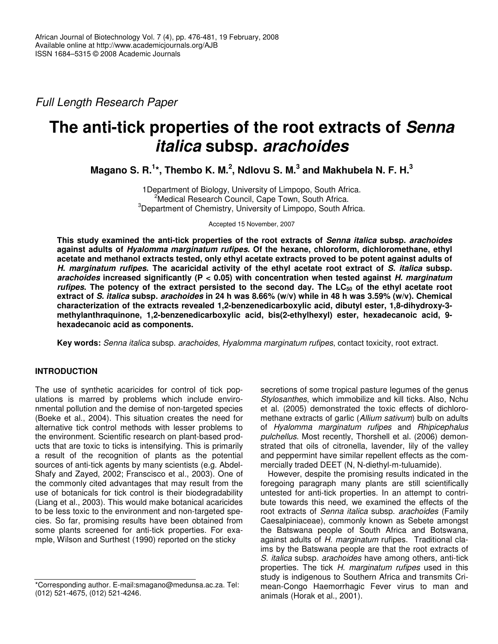*Full Length Research Paper*

# **The anti-tick properties of the root extracts of** *Senna italica* **subsp.** *arachoides*

**Magano S. R. 1 \*, Thembo K. M. 2 , Ndlovu S. M. 3 and Makhubela N. F. H. 3**

1Department of Biology, University of Limpopo, South Africa. <sup>2</sup>Medical Research Council, Cape Town, South Africa. <sup>3</sup>Department of Chemistry, University of Limpopo, South Africa.

Accepted 15 November, 2007

**This study examined the anti-tick properties of the root extracts of** *Senna italica* **subsp.** *arachoides* **against adults of** *Hyalomma marginatum rufipes***. Of the hexane, chloroform, dichloromethane, ethyl acetate and methanol extracts tested, only ethyl acetate extracts proved to be potent against adults of** H. marginatum rufipes. The acaricidal activity of the ethyl acetate root extract of S. italica subsp. *arachoides* **increased significantly (P < 0.05) with concentration when tested against** *H. marginatum rufipes*. The potency of the extract persisted to the second day. The LC $_{50}$  of the ethyl acetate root extract of S. italica subsp. arachoides in 24 h was 8.66% (w/v) while in 48 h was 3.59% (w/v). Chemical **characterization of the extracts revealed 1,2-benzenedicarboxylic acid, dibutyl ester, 1,8-dihydroxy-3 methylanthraquinone, 1,2-benzenedicarboxylic acid, bis(2-ethylhexyl) ester, hexadecanoic acid, 9 hexadecanoic acid as components.**

**Key words:** *Senna italica* subsp. *arachoides*, *Hyalomma marginatum rufipes*, contact toxicity, root extract.

# **INTRODUCTION**

The use of synthetic acaricides for control of tick populations is marred by problems which include environmental pollution and the demise of non-targeted species (Boeke et al., 2004). This situation creates the need for alternative tick control methods with lesser problems to the environment. Scientific research on plant-based products that are toxic to ticks is intensifying. This is primarily a result of the recognition of plants as the potential sources of anti-tick agents by many scientists (e.g. Abdel-Shafy and Zayed, 2002; Franscisco et al*.*, 2003). One of the commonly cited advantages that may result from the use of botanicals for tick control is their biodegradability (Liang et al., 2003). This would make botanical acaricides to be less toxic to the environment and non-targeted species. So far, promising results have been obtained from some plants screened for anti-tick properties. For example, Wilson and Surthest (1990) reported on the sticky

secretions of some tropical pasture legumes of the genus *Stylosanthes*, which immobilize and kill ticks. Also, Nchu et al. (2005) demonstrated the toxic effects of dichloromethane extracts of garlic (*Allium sativum*) bulb on adults of *Hyalomma marginatum rufipes* and *Rhipicephalus pulchellus*. Most recently, Thorshell et al. (2006) demonstrated that oils of citronella, lavender, lily of the valley and peppermint have similar repellent effects as the commercially traded DEET (N, N-diethyl-m-tuluamide).

However, despite the promising results indicated in the foregoing paragraph many plants are still scientifically untested for anti-tick properties. In an attempt to contribute towards this need, we examined the effects of the root extracts of *Senna italica* subsp. *arachoides* (Family Caesalpiniaceae), commonly known as Sebete amongst the Batswana people of South Africa and Botswana, against adults of *H. marginatum* rufipes. Traditional claims by the Batswana people are that the root extracts of *S. italica* subsp. *arachoides* have among others, anti-tick properties. The tick *H. marginatum rufipes* used in this study is indigenous to Southern Africa and transmits Crimean-Congo Haemorrhagic Fever virus to man and animals (Horak et al., 2001).

<sup>\*</sup>Corresponding author. E-mail:smagano@medunsa.ac.za. Tel: (012) 521-4675, (012) 521-4246.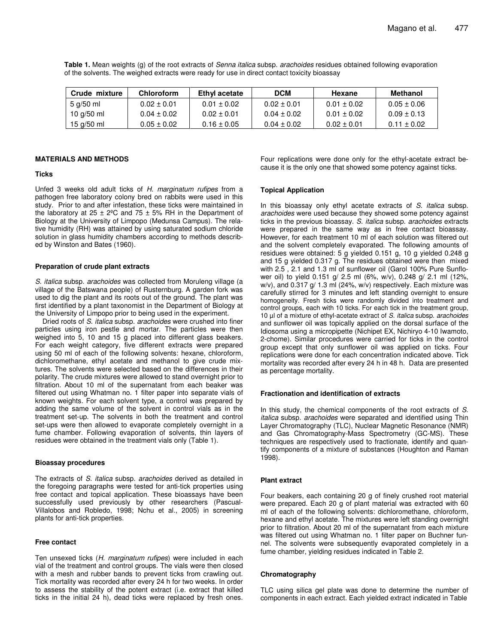**Table 1.** Mean weights (g) of the root extracts of *Senna italica* subsp. *arachoides* residues obtained following evaporation of the solvents. The weighed extracts were ready for use in direct contact toxicity bioassay

| Crude mixture | <b>Chloroform</b> | Ethyl acetate   | <b>DCM</b>      | Hexane          | Methanol        |
|---------------|-------------------|-----------------|-----------------|-----------------|-----------------|
| 5 g/50 ml     | $0.02 \pm 0.01$   | $0.01 \pm 0.02$ | $0.02 + 0.01$   | $0.01 \pm 0.02$ | $0.05 \pm 0.06$ |
| 10 g/50 ml    | $0.04 \pm 0.02$   | $0.02 \pm 0.01$ | $0.04 \pm 0.02$ | $0.01 \pm 0.02$ | $0.09 \pm 0.13$ |
| 15 g/50 ml    | $0.05 \pm 0.02$   | $0.16 \pm 0.05$ | $0.04 + 0.02$   | $0.02 + 0.01$   | $0.11 + 0.02$   |

#### **MATERIALS AND METHODS**

## **Ticks**

Unfed 3 weeks old adult ticks of *H. marginatum rufipes* from a pathogen free laboratory colony bred on rabbits were used in this study. Prior to and after infestation, these ticks were maintained in the laboratory at  $25 \pm 2^{\circ}$ C and  $75 \pm 5$ % RH in the Department of Biology at the University of Limpopo (Medunsa Campus). The relative humidity (RH) was attained by using saturated sodium chloride solution in glass humidity chambers according to methods described by Winston and Bates (1960).

#### **Preparation of crude plant extracts**

*S. italica* subsp. *arachoides* was collected from Moruleng village (a village of the Batswana people) of Rusternburg. A garden fork was used to dig the plant and its roots out of the ground. The plant was first identified by a plant taxonomist in the Department of Biology at the University of Limpopo prior to being used in the experiment.

Dried roots of *S. italica* subsp. *arachoides* were crushed into finer particles using iron pestle and mortar. The particles were then weighed into 5, 10 and 15 g placed into different glass beakers. For each weight category, five different extracts were prepared using 50 ml of each of the following solvents: hexane, chloroform, dichloromethane, ethyl acetate and methanol to give crude mixtures. The solvents were selected based on the differences in their polarity. The crude mixtures were allowed to stand overnight prior to filtration. About 10 ml of the supernatant from each beaker was filtered out using Whatman no. 1 filter paper into separate vials of known weights. For each solvent type, a control was prepared by adding the same volume of the solvent in control vials as in the treatment set-up. The solvents in both the treatment and control set-ups were then allowed to evaporate completely overnight in a fume chamber. Following evaporation of solvents, thin layers of residues were obtained in the treatment vials only (Table 1).

## **Bioassay procedures**

The extracts of *S. italica* subsp. *arachoides* derived as detailed in the foregoing paragraphs were tested for anti-tick properties using free contact and topical application. These bioassays have been successfully used previously by other researchers (Pascual-Villalobos and Robledo, 1998; Nchu et al., 2005) in screening plants for anti-tick properties.

#### **Free contact**

Ten unsexed ticks (*H. marginatum rufipes*) were included in each vial of the treatment and control groups. The vials were then closed with a mesh and rubber bands to prevent ticks from crawling out. Tick mortality was recorded after every 24 h for two weeks. In order to assess the stability of the potent extract (i.e. extract that killed ticks in the initial 24 h), dead ticks were replaced by fresh ones. Four replications were done only for the ethyl-acetate extract because it is the only one that showed some potency against ticks.

#### **Topical Application**

In this bioassay only ethyl acetate extracts of *S. italica* subsp. *arachoides* were used because they showed some potency against ticks in the previous bioassay. *S. italica* subsp. *arachoides* extracts were prepared in the same way as in free contact bioassay. However, for each treatment 10 ml of each solution was filtered out and the solvent completely evaporated. The following amounts of residues were obtained: 5 g yielded 0.151 g, 10 g yielded 0.248 g and 15 g yielded 0.317 g. The residues obtained were then mixed with 2.5 , 2.1 and 1.3 ml of sunflower oil (Garol 100% Pure Sunflower oil) to yield 0.151 g/ 2.5 ml (6%, w/v), 0.248 g/ 2.1 ml (12%, w/v), and 0.317 g/ 1.3 ml (24%, w/v) respectively. Each mixture was carefully stirred for 3 minutes and left standing overnight to ensure homogeneity. Fresh ticks were randomly divided into treatment and control groups, each with 10 ticks. For each tick in the treatment group, 10 µl of a mixture of ethyl-acetate extract of *S. italica* subsp. *arachoides* and sunflower oil was topically applied on the dorsal surface of the Idiosoma using a micropipette (Nichipet EX, Nichiryo 4-10 Iwamoto, 2-chome). Similar procedures were carried for ticks in the control group except that only sunflower oil was applied on ticks. Four replications were done for each concentration indicated above. Tick mortality was recorded after every 24 h in 48 h. Data are presented as percentage mortality.

#### **Fractionation and identification of extracts**

In this study, the chemical components of the root extracts of *S*. *italica* subsp. *arachoides* were separated and identified using Thin Layer Chromatography (TLC), Nuclear Magnetic Resonance (NMR) and Gas Chromatography-Mass Spectrometry (GC-MS). These techniques are respectively used to fractionate, identify and quantify components of a mixture of substances (Houghton and Raman 1998).

#### **Plant extract**

Four beakers, each containing 20 g of finely crushed root material were prepared. Each 20 g of plant material was extracted with 60 ml of each of the following solvents: dichloromethane, chloroform, hexane and ethyl acetate. The mixtures were left standing overnight prior to filtration. About 20 ml of the supernatant from each mixture was filtered out using Whatman no. 1 filter paper on Buchner funnel. The solvents were subsequently evaporated completely in a fume chamber, yielding residues indicated in Table 2.

#### **Chromatography**

TLC using silica gel plate was done to determine the number of components in each extract. Each yielded extract indicated in Table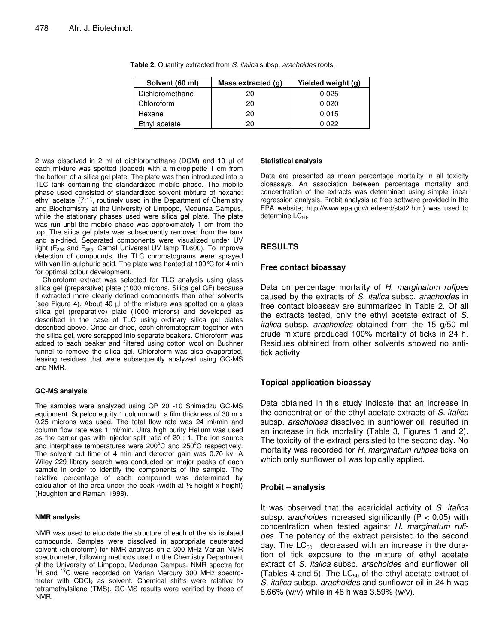| Solvent (60 ml) | Mass extracted (g) | Yielded weight (g) |  |  |
|-----------------|--------------------|--------------------|--|--|
| Dichloromethane | 20                 | 0.025              |  |  |
| Chloroform      | 20                 | 0.020              |  |  |
| Hexane          | 20                 | 0.015              |  |  |
| Ethyl acetate   | 20                 | 0.022              |  |  |

**Table 2.** Quantity extracted from *S. italica* subsp*. arachoides* roots.

2 was dissolved in 2 ml of dichloromethane (DCM) and 10 µl of each mixture was spotted (loaded) with a micropipette 1 cm from the bottom of a silica gel plate. The plate was then introduced into a TLC tank containing the standardized mobile phase. The mobile phase used consisted of standardized solvent mixture of hexane: ethyl acetate (7:1), routinely used in the Department of Chemistry and Biochemistry at the University of Limpopo, Medunsa Campus, while the stationary phases used were silica gel plate. The plate was run until the mobile phase was approximately 1 cm from the top. The silica gel plate was subsequently removed from the tank and air-dried. Separated components were visualized under UV light ( $F_{254}$  and  $F_{365}$ , Camal Universal UV lamp TL600). To improve detection of compounds, the TLC chromatograms were sprayed with vanillin-sulphuric acid. The plate was heated at 100 °C for 4 min for optimal colour development.

Chloroform extract was selected for TLC analysis using glass silica gel (preparative) plate (1000 microns, Silica gel GF) because it extracted more clearly defined components than other solvents (see Figure 4). About 40 µl of the mixture was spotted on a glass silica gel (preparative) plate (1000 microns) and developed as described in the case of TLC using ordinary silica gel plates described above. Once air-dried, each chromatogram together with the silica gel, were scrapped into separate beakers. Chloroform was added to each beaker and filtered using cotton wool on Buchner funnel to remove the silica gel. Chloroform was also evaporated, leaving residues that were subsequently analyzed using GC-MS and NMR.

# **GC-MS analysis**

The samples were analyzed using QP 20 -10 Shimadzu GC-MS equipment. Supelco equity 1 column with a film thickness of 30 m x 0.25 microns was used. The total flow rate was 24 ml/min and column flow rate was 1 ml/min. Ultra high purity Helium was used as the carrier gas with injector split ratio of 20 : 1. The ion source and interphase temperatures were 200°C and 250°C respectively. The solvent cut time of 4 min and detector gain was 0.70 kv. A Wiley 229 library search was conducted on major peaks of each sample in order to identify the components of the sample. The relative percentage of each compound was determined by calculation of the area under the peak (width at  $\frac{1}{2}$  height x height) (Houghton and Raman, 1998).

#### **NMR analysis**

NMR was used to elucidate the structure of each of the six isolated compounds. Samples were dissolved in appropriate deuterated solvent (chloroform) for NMR analysis on a 300 MHz Varian NMR spectrometer, following methods used in the Chemistry Department of the University of Limpopo, Medunsa Campus. NMR spectra for <sup>1</sup>H and <sup>13</sup>C were recorded on Varian Mercury 300 MHz spectrometer with  $CDCl<sub>3</sub>$  as solvent. Chemical shifts were relative to tetramethylsilane (TMS). GC-MS results were verified by those of NMR.

#### **Statistical analysis**

Data are presented as mean percentage mortality in all toxicity bioassays. An association between percentage mortality and concentration of the extracts was determined using simple linear regression analysis. Probit analysis (a free software provided in the EPA website; http://www.epa.gov/nerleerd/stat2.htm) was used to determine  $LC_{50}$ .

# **RESULTS**

## **Free contact bioassay**

Data on percentage mortality of *H. marginatum rufipes* caused by the extracts of *S. italica* subsp. *arachoides* in free contact bioassay are summarized in Table 2. Of all the extracts tested, only the ethyl acetate extract of *S. italica* subsp. *arachoides* obtained from the 15 g/50 ml crude mixture produced 100% mortality of ticks in 24 h. Residues obtained from other solvents showed no antitick activity

# **Topical application bioassay**

Data obtained in this study indicate that an increase in the concentration of the ethyl-acetate extracts of *S. italica* subsp. *arachoides* dissolved in sunflower oil, resulted in an increase in tick mortality (Table 3, Figures 1 and 2). The toxicity of the extract persisted to the second day. No mortality was recorded for *H. marginatum rufipes* ticks on which only sunflower oil was topically applied.

# **Probit – analysis**

It was observed that the acaricidal activity of *S. italica* subsp. *arachoides* increased significantly (P < 0.05) with concentration when tested against *H. marginatum rufipes*. The potency of the extract persisted to the second day. The  $LC_{50}$  decreased with an increase in the duration of tick exposure to the mixture of ethyl acetate extract of *S. italica* subsp. *arachoides* and sunflower oil (Tables 4 and 5). The  $LC_{50}$  of the ethyl acetate extract of *S. italica* subsp. *arachoides* and sunflower oil in 24 h was 8.66% (w/v) while in 48 h was 3.59% (w/v).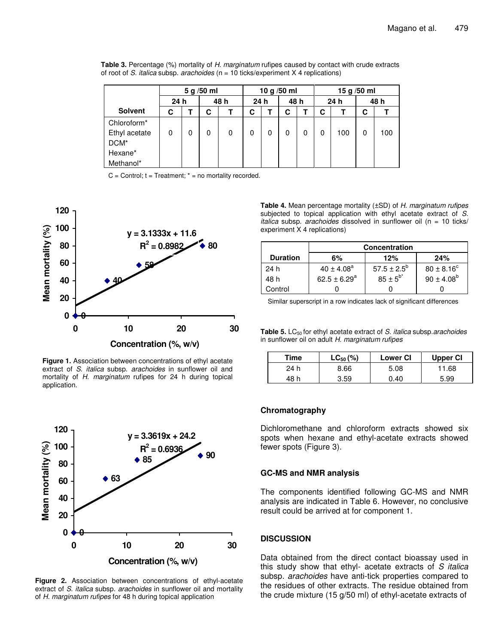|                         | 5 g/50 ml |   |   | 10 g $/50$ ml |      |   | 15 g /50 ml |   |   |      |   |      |
|-------------------------|-----------|---|---|---------------|------|---|-------------|---|---|------|---|------|
|                         | 24 h      |   |   | 48 h          | 24 h |   | 48 h        |   |   | 24 h |   | 48 h |
| <b>Solvent</b>          | С         |   | C |               | С    |   | C           |   | С |      | C |      |
| Chloroform <sup>*</sup> |           |   |   |               |      |   |             |   |   |      |   |      |
| Ethyl acetate           | 0         | 0 | 0 | 0             | 0    | 0 | 0           | 0 | 0 | 100  | 0 | 100  |
| DCM*                    |           |   |   |               |      |   |             |   |   |      |   |      |
| Hexane*                 |           |   |   |               |      |   |             |   |   |      |   |      |
| Methanol*               |           |   |   |               |      |   |             |   |   |      |   |      |

| <b>Table 3.</b> Percentage (%) mortality of H. marginatum rufipes caused by contact with crude extracts |  |
|---------------------------------------------------------------------------------------------------------|--|
| of root of S. <i>italica</i> subsp. <i>arachoides</i> (n = 10 ticks/experiment X 4 replications)        |  |

 $C =$  Control;  $t =$  Treatment;  $t =$  no mortality recorded.



**Figure 1.** Association between concentrations of ethyl acetate extract of *S. italica* subsp. *arachoides* in sunflower oil and mortality of *H. marginatum* rufipes for 24 h during topical application.



**Figure 2.** Association between concentrations of ethyl-acetate extract of *S. italica* subsp. *arachoides* in sunflower oil and mortality of *H. marginatum rufipes* for 48 h during topical application

**Table 4.** Mean percentage mortality (±SD) of *H. marginatum rufipes* subjected to topical application with ethyl acetate extract of *S. italica* subsp. *arachoides* dissolved in sunflower oil (n = 10 ticks/ experiment X 4 replications)

|                 | <b>Concentration</b> |                  |                       |  |  |
|-----------------|----------------------|------------------|-----------------------|--|--|
| <b>Duration</b> | 6%                   | 12%              | 24%                   |  |  |
| 24 h            | $40 \pm 4.08^a$      | $57.5 \pm 2.5^b$ | $80 \pm 8.16^{\circ}$ |  |  |
| 48 h            | $62.5 \pm 6.29^a$    | $85 \pm 5^{b^*}$ | $90 \pm 4.08^b$       |  |  |
| Control         |                      |                  |                       |  |  |

Similar superscript in a row indicates lack of significant differences

**Table 5.** LC<sup>50</sup> for ethyl acetate extract of *S. italica* subsp.*arachoides* in sunflower oil on adult *H. marginatum rufipes*

| Time | $LC_{50}$ (%) | <b>Lower CI</b> | Upper CI |
|------|---------------|-----------------|----------|
| 24 h | 8.66          | 5.08            | 11.68    |
| 48 h | 3.59          | 0.40            | 5.99     |

# **Chromatography**

Dichloromethane and chloroform extracts showed six spots when hexane and ethyl-acetate extracts showed fewer spots (Figure 3).

# **GC-MS and NMR analysis**

The components identified following GC-MS and NMR analysis are indicated in Table 6. However, no conclusive result could be arrived at for component 1.

# **DISCUSSION**

Data obtained from the direct contact bioassay used in this study show that ethyl- acetate extracts of *S italica* subsp*. arachoides* have anti-tick properties compared to the residues of other extracts. The residue obtained from the crude mixture (15 g/50 ml) of ethyl-acetate extracts of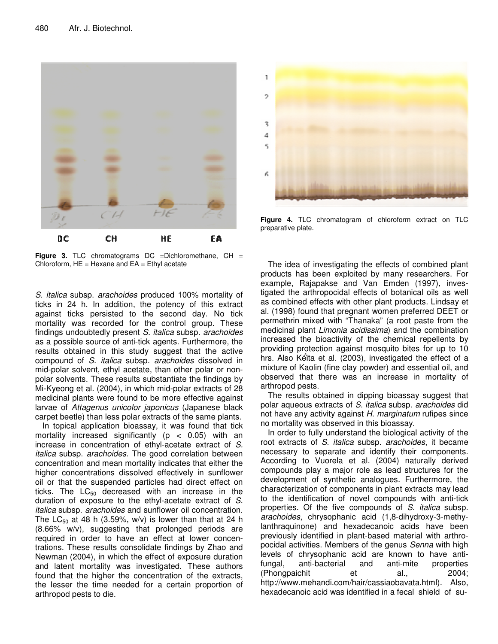

**Figure 3.** TLC chromatograms DC =Dichloromethane, CH = Chloroform,  $HE =$  Hexane and  $EA =$  Ethyl acetate

*S. italica* subsp. *arachoides* produced 100% mortality of ticks in 24 h. In addition, the potency of this extract against ticks persisted to the second day. No tick mortality was recorded for the control group. These findings undoubtedly present *S. italica* subsp*. arachoides* as a possible source of anti-tick agents. Furthermore, the results obtained in this study suggest that the active compound of *S. italica* subsp*. arachoides* dissolved in mid-polar solvent, ethyl acetate, than other polar or nonpolar solvents. These results substantiate the findings by Mi-Kyeong et al. (2004), in which mid-polar extracts of 28 medicinal plants were found to be more effective against larvae of *Attagenus unicolor japonicus* (Japanese black carpet beetle) than less polar extracts of the same plants.

In topical application bioassay, it was found that tick mortality increased significantly ( $p < 0.05$ ) with an increase in concentration of ethyl-acetate extract of *S. italica* subsp. *arachoides*. The good correlation between concentration and mean mortality indicates that either the higher concentrations dissolved effectively in sunflower oil or that the suspended particles had direct effect on ticks. The  $LC_{50}$  decreased with an increase in the duration of exposure to the ethyl-acetate extract of *S. italica* subsp. *arachoides* and sunflower oil concentration. The  $LC_{50}$  at 48 h (3.59%, w/v) is lower than that at 24 h (8.66% w/v), suggesting that prolonged periods are required in order to have an effect at lower concentrations. These results consolidate findings by Zhao and Newman (2004), in which the effect of exposure duration and latent mortality was investigated. These authors found that the higher the concentration of the extracts, the lesser the time needed for a certain proportion of arthropod pests to die.



**Figure 4.** TLC chromatogram of chloroform extract on TLC preparative plate.

The idea of investigating the effects of combined plant products has been exploited by many researchers. For example, Rajapakse and Van Emden (1997), investigated the arthropocidal effects of botanical oils as well as combined effects with other plant products. Lindsay et al*.* (1998) found that pregnant women preferred DEET or permethrin mixed with "Thanaka" (a root paste from the medicinal plant *Limonia acidissima*) and the combination increased the bioactivity of the chemical repellents by providing protection against mosquito bites for up to 10 hrs. Also Kéïta et al. (2003), investigated the effect of a mixture of Kaolin (fine clay powder) and essential oil, and observed that there was an increase in mortality of arthropod pests.

The results obtained in dipping bioassay suggest that polar aqueous extracts of *S. italica* subsp. *arachoides* did not have any activity against *H. marginatum* rufipes since no mortality was observed in this bioassay.

In order to fully understand the biological activity of the root extracts of *S. italica* subsp. *arachoides*, it became necessary to separate and identify their components. According to Vuorela et al*.* (2004) naturally derived compounds play a major role as lead structures for the development of synthetic analogues. Furthermore, the characterization of components in plant extracts may lead to the identification of novel compounds with anti-tick properties. Of the five compounds of *S. italica* subsp. *arachoides*, chrysophanic acid (1,8-dihydroxy-3-methylanthraquinone) and hexadecanoic acids have been previously identified in plant-based material with arthropocidal activities. Members of the genus *Senna* with high levels of chrysophanic acid are known to have antifungal, anti-bacterial and anti-mite properties (Phongpaichit et al., 2004; http://www.mehandi.com/hair/cassiaobavata.html). Also, hexadecanoic acid was identified in a fecal shield of su-